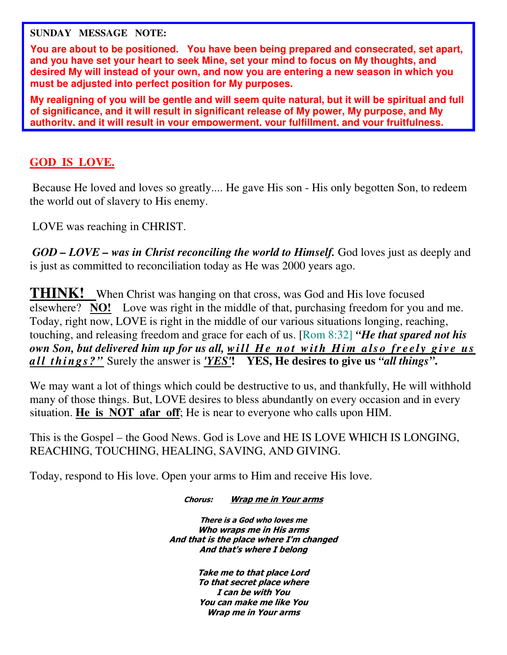**SUNDAY MESSAGE NOTE:** 

**You are about to be positioned. You have been being prepared and consecrated, set apart, and you have set your heart to seek Mine, set your mind to focus on My thoughts, and desired My will instead of your own, and now you are entering a new season in which you must be adjusted into perfect position for My purposes.** 

**My realigning of you will be gentle and will seem quite natural, but it will be spiritual and full of significance, and it will result in significant release of My power, My purpose, and My authority, and it will result in your empowerment, your fulfillment, and your fruitfulness.** 

## **GOD IS LOVE.**

Because He loved and loves so greatly.... He gave His son - His only begotten Son, to redeem the world out of slavery to His enemy.

LOVE was reaching in CHRIST.

*GOD – LOVE – was in Christ reconciling the world to Himself.* God loves just as deeply and is just as committed to reconciliation today as He was 2000 years ago.

**THINK!** When Christ was hanging on that cross, was God and His love focused elsewhere? **NO!** Love was right in the middle of that, purchasing freedom for you and me. Today, right now, LOVE is right in the middle of our various situations longing, reaching, touching, and releasing freedom and grace for each of us. [Rom 8:32] *"He that spared not his own Son, but delivered him up for us all, will He not with Him also freely give us a ll t hi ng s? "* Surely the answer is *'YES'***! YES, He desires to give us** *"all things"***.**

We may want a lot of things which could be destructive to us, and thankfully, He will withhold many of those things. But, LOVE desires to bless abundantly on every occasion and in every situation. **He is NOT afar off**; He is near to everyone who calls upon HIM.

This is the Gospel – the Good News. God is Love and HE IS LOVE WHICH IS LONGING, REACHING, TOUCHING, HEALING, SAVING, AND GIVING.

Today, respond to His love. Open your arms to Him and receive His love.

Chorus: Wrap me in Your arms

There is a God who loves me Who wraps me in His arms And that is the place where I'm changed And that's where I belong

> Take me to that place Lord To that secret place where I can be with You You can make me like You Wrap me in Your arms